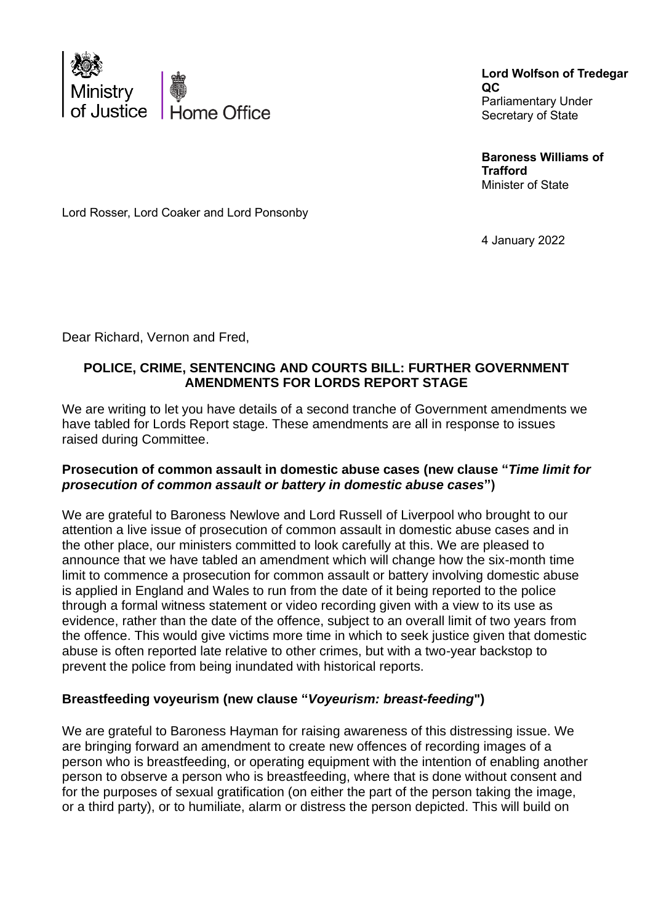

**Lord Wolfson of Tredegar QC** Parliamentary Under Secretary of State

**Baroness Williams of Trafford** Minister of State

Lord Rosser, Lord Coaker and Lord Ponsonby

4 January 2022

Dear Richard, Vernon and Fred,

## **POLICE, CRIME, SENTENCING AND COURTS BILL: FURTHER GOVERNMENT AMENDMENTS FOR LORDS REPORT STAGE**

We are writing to let you have details of a second tranche of Government amendments we have tabled for Lords Report stage. These amendments are all in response to issues raised during Committee.

#### **Prosecution of common assault in domestic abuse cases (new clause "***Time limit for prosecution of common assault or battery in domestic abuse cases***")**

We are grateful to Baroness Newlove and Lord Russell of Liverpool who brought to our attention a live issue of prosecution of common assault in domestic abuse cases and in the other place, our ministers committed to look carefully at this. We are pleased to announce that we have tabled an amendment which will change how the six-month time limit to commence a prosecution for common assault or battery involving domestic abuse is applied in England and Wales to run from the date of it being reported to the police through a formal witness statement or video recording given with a view to its use as evidence, rather than the date of the offence, subject to an overall limit of two years from the offence. This would give victims more time in which to seek justice given that domestic abuse is often reported late relative to other crimes, but with a two-year backstop to prevent the police from being inundated with historical reports.

# **Breastfeeding voyeurism (new clause "***Voyeurism: breast-feeding***")**

We are grateful to Baroness Hayman for raising awareness of this distressing issue. We are bringing forward an amendment to create new offences of recording images of a person who is breastfeeding, or operating equipment with the intention of enabling another person to observe a person who is breastfeeding, where that is done without consent and for the purposes of sexual gratification (on either the part of the person taking the image, or a third party), or to humiliate, alarm or distress the person depicted. This will build on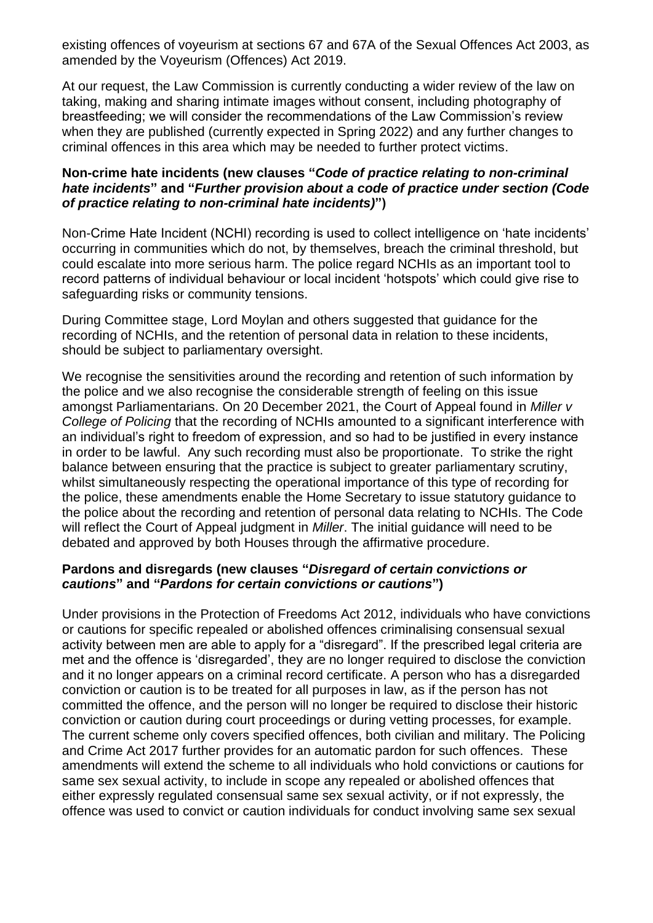existing offences of voyeurism at sections 67 and 67A of the Sexual Offences Act 2003, as amended by the Voyeurism (Offences) Act 2019.

At our request, the Law Commission is currently conducting a wider review of the law on taking, making and sharing intimate images without consent, including photography of breastfeeding; we will consider the recommendations of the Law Commission's review when they are published (currently expected in Spring 2022) and any further changes to criminal offences in this area which may be needed to further protect victims.

#### **Non-crime hate incidents (new clauses "***Code of practice relating to non-criminal hate incidents***" and "***Further provision about a code of practice under section (Code of practice relating to non-criminal hate incidents)***")**

Non-Crime Hate Incident (NCHI) recording is used to collect intelligence on 'hate incidents' occurring in communities which do not, by themselves, breach the criminal threshold, but could escalate into more serious harm. The police regard NCHIs as an important tool to record patterns of individual behaviour or local incident 'hotspots' which could give rise to safeguarding risks or community tensions.

During Committee stage, Lord Moylan and others suggested that guidance for the recording of NCHIs, and the retention of personal data in relation to these incidents, should be subject to parliamentary oversight.

We recognise the sensitivities around the recording and retention of such information by the police and we also recognise the considerable strength of feeling on this issue amongst Parliamentarians. On 20 December 2021, the Court of Appeal found in *Miller v College of Policing* that the recording of NCHIs amounted to a significant interference with an individual's right to freedom of expression, and so had to be justified in every instance in order to be lawful. Any such recording must also be proportionate. To strike the right balance between ensuring that the practice is subject to greater parliamentary scrutiny, whilst simultaneously respecting the operational importance of this type of recording for the police, these amendments enable the Home Secretary to issue statutory guidance to the police about the recording and retention of personal data relating to NCHIs. The Code will reflect the Court of Appeal judgment in *Miller*. The initial guidance will need to be debated and approved by both Houses through the affirmative procedure.

#### **Pardons and disregards (new clauses "***Disregard of certain convictions or cautions***" and "***Pardons for certain convictions or cautions***")**

Under provisions in the Protection of Freedoms Act 2012, individuals who have convictions or cautions for specific repealed or abolished offences criminalising consensual sexual activity between men are able to apply for a "disregard". If the prescribed legal criteria are met and the offence is 'disregarded', they are no longer required to disclose the conviction and it no longer appears on a criminal record certificate. A person who has a disregarded conviction or caution is to be treated for all purposes in law, as if the person has not committed the offence, and the person will no longer be required to disclose their historic conviction or caution during court proceedings or during vetting processes, for example. The current scheme only covers specified offences, both civilian and military. The Policing and Crime Act 2017 further provides for an automatic pardon for such offences. These amendments will extend the scheme to all individuals who hold convictions or cautions for same sex sexual activity, to include in scope any repealed or abolished offences that either expressly regulated consensual same sex sexual activity, or if not expressly, the offence was used to convict or caution individuals for conduct involving same sex sexual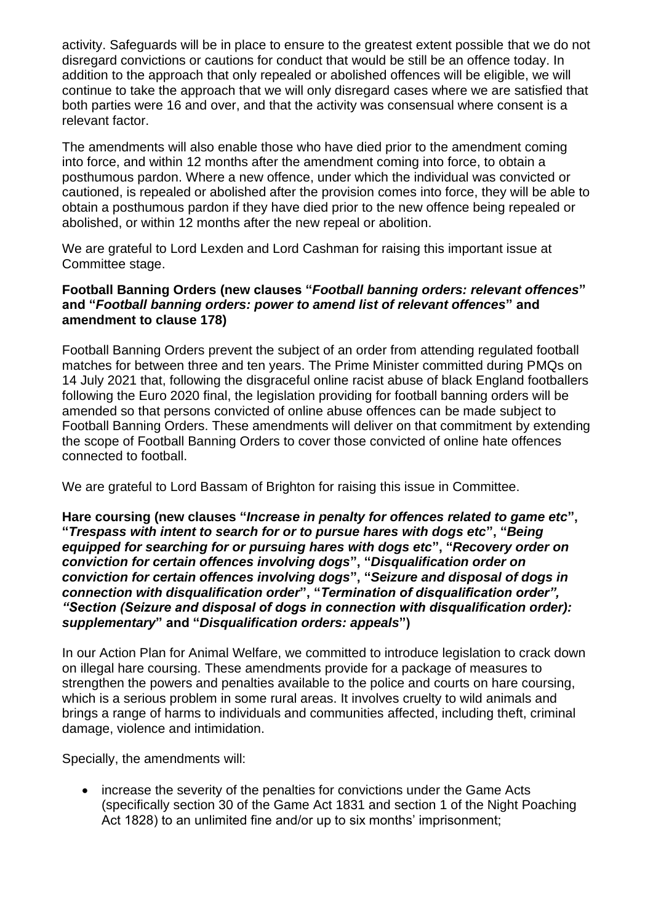activity. Safeguards will be in place to ensure to the greatest extent possible that we do not disregard convictions or cautions for conduct that would be still be an offence today. In addition to the approach that only repealed or abolished offences will be eligible, we will continue to take the approach that we will only disregard cases where we are satisfied that both parties were 16 and over, and that the activity was consensual where consent is a relevant factor.

The amendments will also enable those who have died prior to the amendment coming into force, and within 12 months after the amendment coming into force, to obtain a posthumous pardon. Where a new offence, under which the individual was convicted or cautioned, is repealed or abolished after the provision comes into force, they will be able to obtain a posthumous pardon if they have died prior to the new offence being repealed or abolished, or within 12 months after the new repeal or abolition.

We are grateful to Lord Lexden and Lord Cashman for raising this important issue at Committee stage.

### **Football Banning Orders (new clauses "***Football banning orders: relevant offences***" and "***Football banning orders: power to amend list of relevant offences***" and amendment to clause 178)**

Football Banning Orders prevent the subject of an order from attending regulated football matches for between three and ten years. The Prime Minister committed during PMQs on 14 July 2021 that, following the disgraceful online racist abuse of black England footballers following the Euro 2020 final, the legislation providing for football banning orders will be amended so that persons convicted of online abuse offences can be made subject to Football Banning Orders. These amendments will deliver on that commitment by extending the scope of Football Banning Orders to cover those convicted of online hate offences connected to football.

We are grateful to Lord Bassam of Brighton for raising this issue in Committee.

#### **Hare coursing (new clauses "***Increase in penalty for offences related to game etc***", "***Trespass with intent to search for or to pursue hares with dogs etc***", "***Being equipped for searching for or pursuing hares with dogs etc***", "***Recovery order on conviction for certain offences involving dogs***", "***Disqualification order on conviction for certain offences involving dogs***", "***Seizure and disposal of dogs in connection with disqualification order***", "***Termination of disqualification order", "Section (Seizure and disposal of dogs in connection with disqualification order): supplementary***" and "***Disqualification orders: appeals***")**

In our Action Plan for Animal Welfare, we committed to introduce legislation to crack down on illegal hare coursing. These amendments provide for a package of measures to strengthen the powers and penalties available to the police and courts on hare coursing, which is a serious problem in some rural areas. It involves cruelty to wild animals and brings a range of harms to individuals and communities affected, including theft, criminal damage, violence and intimidation.

Specially, the amendments will:

• increase the severity of the penalties for convictions under the Game Acts (specifically section 30 of the Game Act 1831 and section 1 of the Night Poaching Act 1828) to an unlimited fine and/or up to six months' imprisonment;